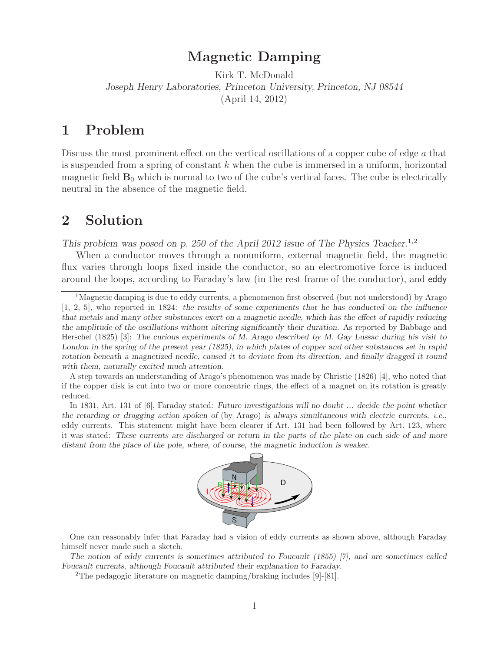# **Magnetic Damping**

Kirk T. McDonald *Joseph Henry Laboratories, Princeton University, Princeton, NJ 08544* (April 14, 2012)

### **1 Problem**

Discuss the most prominent effect on the vertical oscillations of a copper cube of edge a that is suspended from a spring of constant  $k$  when the cube is immersed in a uniform, horizontal magnetic field  $\mathbf{B}_0$  which is normal to two of the cube's vertical faces. The cube is electrically neutral in the absence of the magnetic field.

### **2 Solution**

*This problem was posed on p. 250 of the April 2012 issue of The Physics Teacher.*1,2

When a conductor moves through a nonuniform, external magnetic field, the magnetic flux varies through loops fixed inside the conductor, so an electromotive force is induced around the loops, according to Faraday's law (in the rest frame of the conductor), and eddy

A step towards an understanding of Arago's phenomenon was made by Christie (1826) [4], who noted that if the copper disk is cut into two or more concentric rings, the effect of a magnet on its rotation is greatly reduced.

In 1831, Art. 131 of [6], Faraday stated: *Future investigations will no doubt ... decide the point whether the retarding or dragging action spoken of* (by Arago) *is always simultaneous with electric currents*, *i.e.*, eddy currents. This statement might have been clearer if Art. 131 had been followed by Art. 123, where it was stated: *These currents are discharged or return in the parts of the plate on each side of and more distant from the place of the pole, where, of course, the magnetic induction is weaker.*



One can reasonably infer that Faraday had a vision of eddy currents as shown above, although Faraday himself never made such a sketch.

*The notion of eddy currents is sometimes attributed to Foucault (1855) [7], and are sometimes called Foucault currents, although Foucault attributed their explanation to Faraday.*

<sup>2</sup>The pedagogic literature on magnetic damping/braking includes [9]-[81].

<sup>&</sup>lt;sup>1</sup>Magnetic damping is due to eddy currents, a phenomenon first observed (but not understood) by Arago [1, 2, 5], who reported in 1824: *the results of some experiments that he has conducted on the influence that metals and many other substances exert on a magnetic needle, which has the effect of rapidly reducing the amplitude of the oscillations without altering significantly their duration.* As reported by Babbage and Herschel (1825) [3]: *The curious experiments of M. Arago described by M. Gay Lussac during his visit to London in the spring of the present year (1825), in which plates of copper and other substances set in rapid rotation beneath a magnetized needle, caused it to deviate from its direction, and finally dragged it round with them, naturally excited much attention.*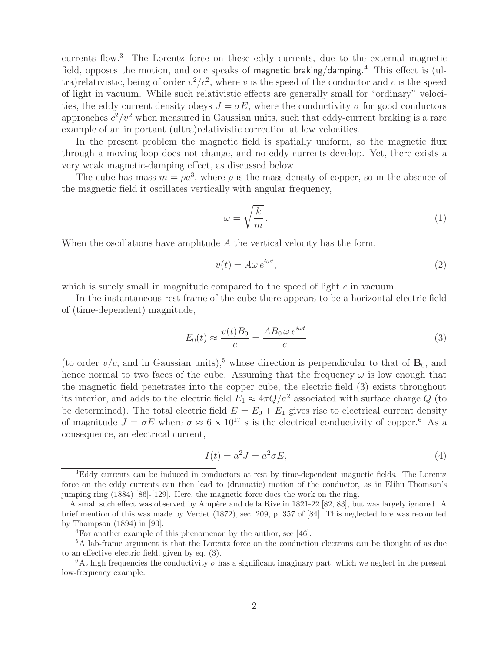currents flow.<sup>3</sup> The Lorentz force on these eddy currents, due to the external magnetic field, opposes the motion, and one speaks of magnetic braking/damping.<sup>4</sup> This effect is (ultra)relativistic, being of order  $v^2/c^2$ , where v is the speed of the conductor and c is the speed of light in vacuum. While such relativistic effects are generally small for "ordinary" velocities, the eddy current density obeys  $J = \sigma E$ , where the conductivity  $\sigma$  for good conductors approaches  $c^2/v^2$  when measured in Gaussian units, such that eddy-current braking is a rare example of an important (ultra)relativistic correction at low velocities.

In the present problem the magnetic field is spatially uniform, so the magnetic flux through a moving loop does not change, and no eddy currents develop. Yet, there exists a very weak magnetic-damping effect, as discussed below.

The cube has mass  $m = \rho a^3$ , where  $\rho$  is the mass density of copper, so in the absence of the magnetic field it oscillates vertically with angular frequency,

$$
\omega = \sqrt{\frac{k}{m}}.\tag{1}
$$

When the oscillations have amplitude  $A$  the vertical velocity has the form,

$$
v(t) = A\omega e^{i\omega t},\tag{2}
$$

which is surely small in magnitude compared to the speed of light c in vacuum.

In the instantaneous rest frame of the cube there appears to be a horizontal electric field of (time-dependent) magnitude,

$$
E_0(t) \approx \frac{v(t)B_0}{c} = \frac{AB_0 \,\omega \,e^{i\omega t}}{c} \tag{3}
$$

(to order  $v/c$ , and in Gaussian units),<sup>5</sup> whose direction is perpendicular to that of  $\mathbf{B}_0$ , and hence normal to two faces of the cube. Assuming that the frequency  $\omega$  is low enough that the magnetic field penetrates into the copper cube, the electric field (3) exists throughout its interior, and adds to the electric field  $E_1 \approx 4\pi Q/a^2$  associated with surface charge Q (to be determined). The total electric field  $E = E_0 + E_1$  gives rise to electrical current density of magnitude  $J = \sigma E$  where  $\sigma \approx 6 \times 10^{17}$  s is the electrical conductivity of copper.<sup>6</sup> As a consequence, an electrical current,

$$
I(t) = a^2 J = a^2 \sigma E,\tag{4}
$$

<sup>&</sup>lt;sup>3</sup>Eddy currents can be induced in conductors at rest by time-dependent magnetic fields. The Lorentz force on the eddy currents can then lead to (dramatic) motion of the conductor, as in Elihu Thomson's jumping ring (1884) [86]-[129]. Here, the magnetic force does the work on the ring.

A small such effect was observed by Ampère and de la Rive in 1821-22 [82, 83], but was largely ignored. A brief mention of this was made by Verdet (1872), sec. 209, p. 357 of [84]. This neglected lore was recounted by Thompson (1894) in [90].

<sup>4</sup>For another example of this phenomenon by the author, see [46].

<sup>5</sup>A lab-frame argument is that the Lorentz force on the conduction electrons can be thought of as due to an effective electric field, given by eq. (3).

<sup>&</sup>lt;sup>6</sup>At high frequencies the conductivity  $\sigma$  has a significant imaginary part, which we neglect in the present low-frequency example.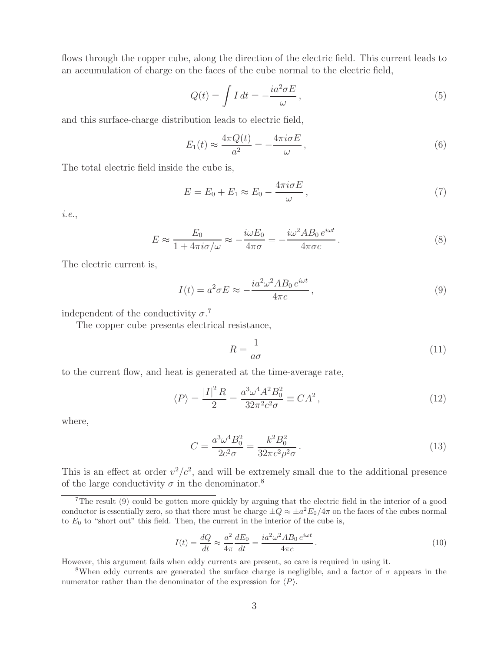flows through the copper cube, along the direction of the electric field. This current leads to an accumulation of charge on the faces of the cube normal to the electric field,

$$
Q(t) = \int I \, dt = -\frac{ia^2 \sigma E}{\omega},\tag{5}
$$

and this surface-charge distribution leads to electric field,

$$
E_1(t) \approx \frac{4\pi Q(t)}{a^2} = -\frac{4\pi i \sigma E}{\omega},\qquad(6)
$$

The total electric field inside the cube is,

$$
E = E_0 + E_1 \approx E_0 - \frac{4\pi i \sigma E}{\omega},\qquad(7)
$$

*i.e.*,

$$
E \approx \frac{E_0}{1 + 4\pi i \sigma/\omega} \approx -\frac{i\omega E_0}{4\pi\sigma} = -\frac{i\omega^2 AB_0 e^{i\omega t}}{4\pi\sigma c}.
$$
 (8)

The electric current is,

$$
I(t) = a^2 \sigma E \approx -\frac{i a^2 \omega^2 A B_0 e^{i\omega t}}{4\pi c},
$$
\n(9)

independent of the conductivity  $\sigma$ .<sup>7</sup>

The copper cube presents electrical resistance,

$$
R = \frac{1}{a\sigma} \tag{11}
$$

to the current flow, and heat is generated at the time-average rate,

$$
\langle P \rangle = \frac{|I|^2 R}{2} = \frac{a^3 \omega^4 A^2 B_0^2}{32\pi^2 c^2 \sigma} \equiv C A^2, \qquad (12)
$$

where,

$$
C = \frac{a^3 \omega^4 B_0^2}{2c^2 \sigma} = \frac{k^2 B_0^2}{32\pi c^2 \rho^2 \sigma}.
$$
\n(13)

This is an effect at order  $v^2/c^2$ , and will be extremely small due to the additional presence of the large conductivity  $\sigma$  in the denominator.<sup>8</sup>

$$
I(t) = \frac{dQ}{dt} \approx \frac{a^2}{4\pi} \frac{dE_0}{dt} = \frac{i a^2 \omega^2 A B_0 e^{i\omega t}}{4\pi c}.
$$
\n(10)

However, this argument fails when eddy currents are present, so care is required in using it.

<sup>&</sup>lt;sup>7</sup>The result (9) could be gotten more quickly by arguing that the electric field in the interior of a good conductor is essentially zero, so that there must be charge  $\pm Q \approx \pm a^2 E_0/4\pi$  on the faces of the cubes normal to  $E_0$  to "short out" this field. Then, the current in the interior of the cube is,

<sup>&</sup>lt;sup>8</sup>When eddy currents are generated the surface charge is negligible, and a factor of  $\sigma$  appears in the numerator rather than the denominator of the expression for  $\langle P \rangle$ .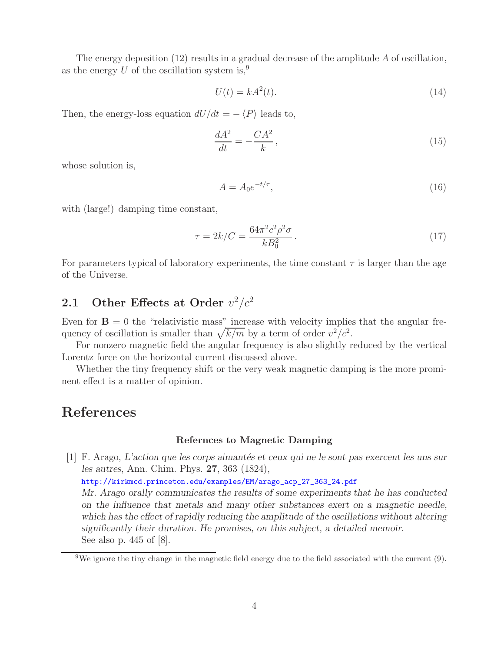The energy deposition  $(12)$  results in a gradual decrease of the amplitude A of oscillation, as the energy  $U$  of the oscillation system is,<sup>9</sup>

$$
U(t) = kA^2(t). \tag{14}
$$

Then, the energy-loss equation  $dU/dt = - \langle P \rangle$  leads to,

$$
\frac{dA^2}{dt} = -\frac{CA^2}{k},\tag{15}
$$

whose solution is,

$$
A = A_0 e^{-t/\tau},\tag{16}
$$

with (large!) damping time constant,

$$
\tau = 2k/C = \frac{64\pi^2 c^2 \rho^2 \sigma}{k B_0^2}.
$$
\n(17)

For parameters typical of laboratory experiments, the time constant  $\tau$  is larger than the age of the Universe.

## **2.1** Other Effects at Order  $v^2/c^2$

Even for  $\mathbf{B} = 0$  the "relativistic mass" increase with velocity implies that the angular frequency of oscillation is smaller than  $\sqrt{k/m}$  by a term of order  $v^2/c^2$ .

For nonzero magnetic field the angular frequency is also slightly reduced by the vertical Lorentz force on the horizontal current discussed above.

Whether the tiny frequency shift or the very weak magnetic damping is the more prominent effect is a matter of opinion.

## **References**

#### **Refernces to Magnetic Damping**

[1] F. Arago, *L'action que les corps aimant´es et ceux qui ne le sont pas exercent les uns sur les autres*, Ann. Chim. Phys. **27**, 363 (1824),

http://kirkmcd.princeton.edu/examples/EM/arago\_acp\_27\_363\_24.pdf

*Mr. Arago orally communicates the results of some experiments that he has conducted on the influence that metals and many other substances exert on a magnetic needle, which has the effect of rapidly reducing the amplitude of the oscillations without altering significantly their duration. He promises, on this subject, a detailed memoir.* See also p. 445 of [8].

<sup>&</sup>lt;sup>9</sup>We ignore the tiny change in the magnetic field energy due to the field associated with the current  $(9)$ .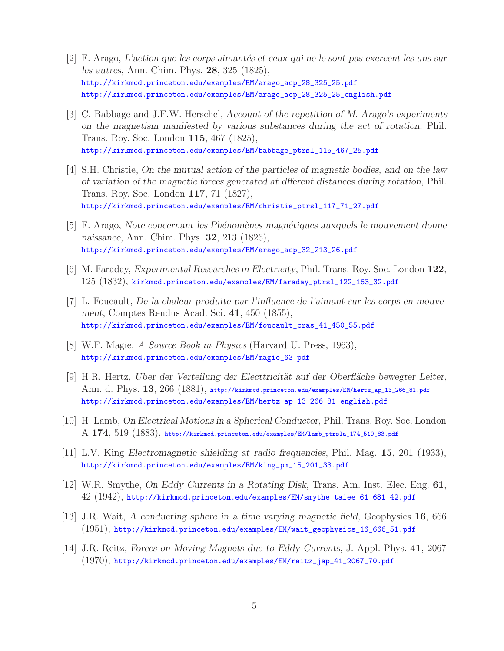- [2] F. Arago, *L'action que les corps aimantés et ceux qui ne le sont pas exercent les uns sur les autres*, Ann. Chim. Phys. **28**, 325 (1825), http://kirkmcd.princeton.edu/examples/EM/arago\_acp\_28\_325\_25.pdf http://kirkmcd.princeton.edu/examples/EM/arago\_acp\_28\_325\_25\_english.pdf
- [3] C. Babbage and J.F.W. Herschel, *Account of the repetition of M. Arago's experiments on the magnetism manifested by various substances during the act of rotation*, Phil. Trans. Roy. Soc. London **115**, 467 (1825), http://kirkmcd.princeton.edu/examples/EM/babbage\_ptrsl\_115\_467\_25.pdf
- [4] S.H. Christie, *On the mutual action of the particles of magnetic bodies, and on the law of variation of the magnetic forces generated at dfferent distances during rotation*, Phil. Trans. Roy. Soc. London **117**, 71 (1827), http://kirkmcd.princeton.edu/examples/EM/christie\_ptrsl\_117\_71\_27.pdf
- [5] F. Arago, *Note concernant les Ph´enom`enes magn´etiques auxquels le mouvement donne naissance*, Ann. Chim. Phys. **32**, 213 (1826), http://kirkmcd.princeton.edu/examples/EM/arago\_acp\_32\_213\_26.pdf
- [6] M. Faraday, *Experimental Researches in Electricity*, Phil. Trans. Roy. Soc. London **122**, 125 (1832), kirkmcd.princeton.edu/examples/EM/faraday\_ptrsl\_122\_163\_32.pdf
- [7] L. Foucault, *De la chaleur produite par l'influence de l'aimant sur les corps en mouvement*, Comptes Rendus Acad. Sci. **41**, 450 (1855), http://kirkmcd.princeton.edu/examples/EM/foucault\_cras\_41\_450\_55.pdf
- [8] W.F. Magie, *A Source Book in Physics* (Harvard U. Press, 1963), http://kirkmcd.princeton.edu/examples/EM/magie\_63.pdf
- [9] H.R. Hertz, *Uber der Verteilung der Electtricität auf der Oberfläche bewegter Leiter*, Ann. d. Phys. **13**, 266 (1881), http://kirkmcd.princeton.edu/examples/EM/hertz\_ap\_13\_266\_81.pdf http://kirkmcd.princeton.edu/examples/EM/hertz\_ap\_13\_266\_81\_english.pdf
- [10] H. Lamb, *On Electrical Motions in a Spherical Conductor*, Phil. Trans. Roy. Soc. London A **174**, 519 (1883), http://kirkmcd.princeton.edu/examples/EM/lamb\_ptrsla\_174\_519\_83.pdf
- [11] L.V. King *Electromagnetic shielding at radio frequencies*, Phil. Mag. **15**, 201 (1933), http://kirkmcd.princeton.edu/examples/EM/king\_pm\_15\_201\_33.pdf
- [12] W.R. Smythe, *On Eddy Currents in a Rotating Disk*, Trans. Am. Inst. Elec. Eng. **61**, 42 (1942), http://kirkmcd.princeton.edu/examples/EM/smythe\_taiee\_61\_681\_42.pdf
- [13] J.R. Wait, *A conducting sphere in a time varying magnetic field*, Geophysics **16**, 666 (1951), http://kirkmcd.princeton.edu/examples/EM/wait\_geophysics\_16\_666\_51.pdf
- [14] J.R. Reitz, *Forces on Moving Magnets due to Eddy Currents*, J. Appl. Phys. **41**, 2067 (1970), http://kirkmcd.princeton.edu/examples/EM/reitz\_jap\_41\_2067\_70.pdf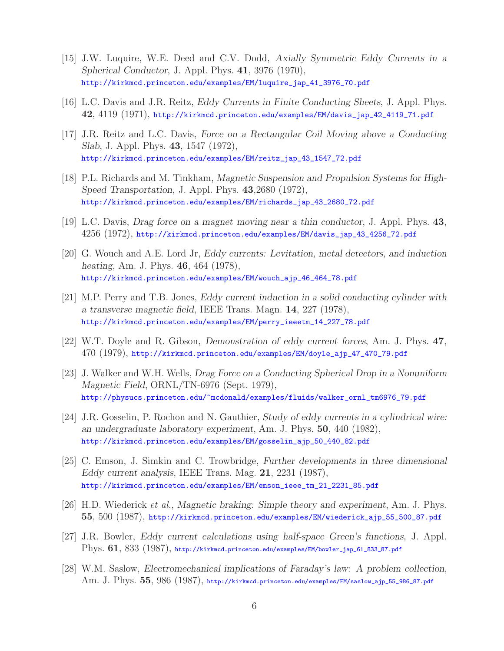- [15] J.W. Luquire, W.E. Deed and C.V. Dodd, *Axially Symmetric Eddy Currents in a Spherical Conductor*, J. Appl. Phys. **41**, 3976 (1970), http://kirkmcd.princeton.edu/examples/EM/luquire\_jap\_41\_3976\_70.pdf
- [16] L.C. Davis and J.R. Reitz, *Eddy Currents in Finite Conducting Sheets*, J. Appl. Phys. **42**, 4119 (1971), http://kirkmcd.princeton.edu/examples/EM/davis\_jap\_42\_4119\_71.pdf
- [17] J.R. Reitz and L.C. Davis, *Force on a Rectangular Coil Moving above a Conducting Slab*, J. Appl. Phys. **43**, 1547 (1972), http://kirkmcd.princeton.edu/examples/EM/reitz\_jap\_43\_1547\_72.pdf
- [18] P.L. Richards and M. Tinkham, *Magnetic Suspension and Propulsion Systems for High-Speed Transportation*, J. Appl. Phys. **43**,2680 (1972), http://kirkmcd.princeton.edu/examples/EM/richards\_jap\_43\_2680\_72.pdf
- [19] L.C. Davis, *Drag force on a magnet moving near a thin conductor*, J. Appl. Phys. **43**, 4256 (1972), http://kirkmcd.princeton.edu/examples/EM/davis\_jap\_43\_4256\_72.pdf
- [20] G. Wouch and A.E. Lord Jr, *Eddy currents: Levitation, metal detectors, and induction heating*, Am. J. Phys. **46**, 464 (1978), http://kirkmcd.princeton.edu/examples/EM/wouch\_ajp\_46\_464\_78.pdf
- [21] M.P. Perry and T.B. Jones, *Eddy current induction in a solid conducting cylinder with a transverse magnetic field*, IEEE Trans. Magn. **14**, 227 (1978), http://kirkmcd.princeton.edu/examples/EM/perry\_ieeetm\_14\_227\_78.pdf
- [22] W.T. Doyle and R. Gibson, *Demonstration of eddy current forces*, Am. J. Phys. **47**, 470 (1979), http://kirkmcd.princeton.edu/examples/EM/doyle\_ajp\_47\_470\_79.pdf
- [23] J. Walker and W.H. Wells, *Drag Force on a Conducting Spherical Drop in a Nonuniform Magnetic Field*, ORNL/TN-6976 (Sept. 1979), http://physucs.princeton.edu/~mcdonald/examples/fluids/walker\_ornl\_tm6976\_79.pdf
- [24] J.R. Gosselin, P. Rochon and N. Gauthier, *Study of eddy currents in a cylindrical wire: an undergraduate laboratory experiment*, Am. J. Phys. **50**, 440 (1982), http://kirkmcd.princeton.edu/examples/EM/gosselin\_ajp\_50\_440\_82.pdf
- [25] C. Emson, J. Simkin and C. Trowbridge, *Further developments in three dimensional Eddy current analysis*, IEEE Trans. Mag. **21**, 2231 (1987), http://kirkmcd.princeton.edu/examples/EM/emson\_ieee\_tm\_21\_2231\_85.pdf
- [26] H.D. Wiederick *et al.*, *Magnetic braking: Simple theory and experiment*, Am. J. Phys. **55**, 500 (1987), http://kirkmcd.princeton.edu/examples/EM/wiederick\_ajp\_55\_500\_87.pdf
- [27] J.R. Bowler, *Eddy current calculations using half-space Green's functions*, J. Appl. Phys. **61**, 833 (1987), http://kirkmcd.princeton.edu/examples/EM/bowler\_jap\_61\_833\_87.pdf
- [28] W.M. Saslow, *Electromechanical implications of Faraday's law: A problem collection*, Am. J. Phys. **55**, 986 (1987), http://kirkmcd.princeton.edu/examples/EM/saslow\_ajp\_55\_986\_87.pdf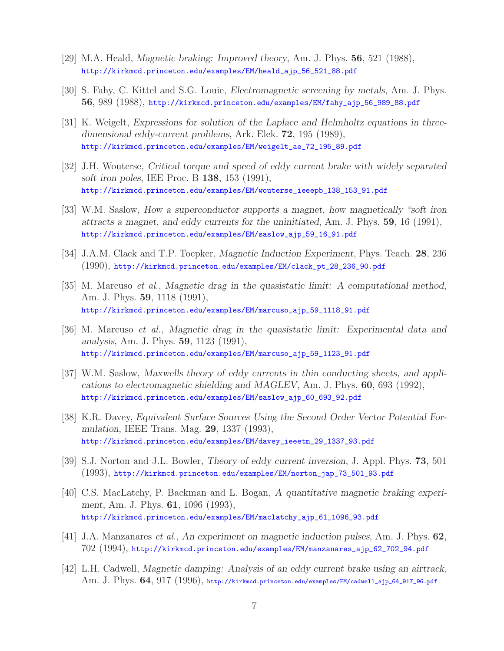- [29] M.A. Heald, *Magnetic braking: Improved theory*, Am. J. Phys. **56**, 521 (1988), http://kirkmcd.princeton.edu/examples/EM/heald\_ajp\_56\_521\_88.pdf
- [30] S. Fahy, C. Kittel and S.G. Louie, *Electromagnetic screening by metals*, Am. J. Phys. **56**, 989 (1988), http://kirkmcd.princeton.edu/examples/EM/fahy\_ajp\_56\_989\_88.pdf
- [31] K. Weigelt, *Expressions for solution of the Laplace and Helmholtz equations in threedimensional eddy-current problems*, Ark. Elek. **72**, 195 (1989), http://kirkmcd.princeton.edu/examples/EM/weigelt\_ae\_72\_195\_89.pdf
- [32] J.H. Wouterse, *Critical torque and speed of eddy current brake with widely separated soft iron poles*, IEE Proc. B **138**, 153 (1991), http://kirkmcd.princeton.edu/examples/EM/wouterse\_ieeepb\_138\_153\_91.pdf
- [33] W.M. Saslow, *How a superconductor supports a magnet, how magnetically "soft iron attracts a magnet, and eddy currents for the uninitiated*, Am. J. Phys. **59**, 16 (1991), http://kirkmcd.princeton.edu/examples/EM/saslow\_ajp\_59\_16\_91.pdf
- [34] J.A.M. Clack and T.P. Toepker, *Magnetic Induction Experiment*, Phys. Teach. **28**, 236 (1990), http://kirkmcd.princeton.edu/examples/EM/clack\_pt\_28\_236\_90.pdf
- [35] M. Marcuso *et al.*, *Magnetic drag in the quasistatic limit: A computational method*, Am. J. Phys. **59**, 1118 (1991), http://kirkmcd.princeton.edu/examples/EM/marcuso\_ajp\_59\_1118\_91.pdf
- [36] M. Marcuso *et al.*, *Magnetic drag in the quasistatic limit: Experimental data and analysis*, Am. J. Phys. **59**, 1123 (1991), http://kirkmcd.princeton.edu/examples/EM/marcuso\_ajp\_59\_1123\_91.pdf
- [37] W.M. Saslow, *Maxwells theory of eddy currents in thin conducting sheets, and applications to electromagnetic shielding and MAGLEV*, Am. J. Phys. **60**, 693 (1992), http://kirkmcd.princeton.edu/examples/EM/saslow\_ajp\_60\_693\_92.pdf
- [38] K.R. Davey, *Equivalent Surface Sources Using the Second Order Vector Potential Formulation*, IEEE Trans. Mag. **29**, 1337 (1993), http://kirkmcd.princeton.edu/examples/EM/davey\_ieeetm\_29\_1337\_93.pdf
- [39] S.J. Norton and J.L. Bowler, *Theory of eddy current inversion*, J. Appl. Phys. **73**, 501 (1993), http://kirkmcd.princeton.edu/examples/EM/norton\_jap\_73\_501\_93.pdf
- [40] C.S. MacLatchy, P. Backman and L. Bogan, *A quantitative magnetic braking experiment*, Am. J. Phys. **61**, 1096 (1993), http://kirkmcd.princeton.edu/examples/EM/maclatchy\_ajp\_61\_1096\_93.pdf
- [41] J.A. Manzanares *et al.*, *An experiment on magnetic induction pulses*, Am. J. Phys. **62**, 702 (1994), http://kirkmcd.princeton.edu/examples/EM/manzanares\_ajp\_62\_702\_94.pdf
- [42] L.H. Cadwell, *Magnetic damping: Analysis of an eddy current brake using an airtrack*, Am. J. Phys. **64**, 917 (1996), http://kirkmcd.princeton.edu/examples/EM/cadwell\_ajp\_64\_917\_96.pdf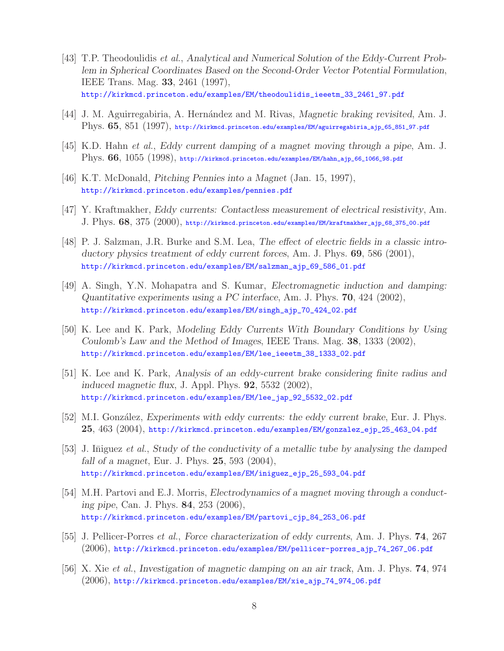- [43] T.P. Theodoulidis *et al.*, *Analytical and Numerical Solution of the Eddy-Current Problem in Spherical Coordinates Based on the Second-Order Vector Potential Formulation*, IEEE Trans. Mag. **33**, 2461 (1997), http://kirkmcd.princeton.edu/examples/EM/theodoulidis\_ieeetm\_33\_2461\_97.pdf
- [44] J. M. Aguirregabiria, A. Hern´andez and M. Rivas, *Magnetic braking revisited*, Am. J. Phys. **65**, 851 (1997), http://kirkmcd.princeton.edu/examples/EM/aguirregabiria\_ajp\_65\_851\_97.pdf
- [45] K.D. Hahn *et al.*, *Eddy current damping of a magnet moving through a pipe*, Am. J. Phys. **66**, 1055 (1998), http://kirkmcd.princeton.edu/examples/EM/hahn\_ajp\_66\_1066\_98.pdf
- [46] K.T. McDonald, *Pitching Pennies into a Magnet* (Jan. 15, 1997), http://kirkmcd.princeton.edu/examples/pennies.pdf
- [47] Y. Kraftmakher, *Eddy currents: Contactless measurement of electrical resistivity*, Am. J. Phys. **68**, 375 (2000), http://kirkmcd.princeton.edu/examples/EM/kraftmakher\_ajp\_68\_375\_00.pdf
- [48] P. J. Salzman, J.R. Burke and S.M. Lea, *The effect of electric fields in a classic introductory physics treatment of eddy current forces*, Am. J. Phys. **69**, 586 (2001), http://kirkmcd.princeton.edu/examples/EM/salzman\_ajp\_69\_586\_01.pdf
- [49] A. Singh, Y.N. Mohapatra and S. Kumar, *Electromagnetic induction and damping: Quantitative experiments using a PC interface*, Am. J. Phys. **70**, 424 (2002), http://kirkmcd.princeton.edu/examples/EM/singh\_ajp\_70\_424\_02.pdf
- [50] K. Lee and K. Park, *Modeling Eddy Currents With Boundary Conditions by Using Coulomb's Law and the Method of Images*, IEEE Trans. Mag. **38**, 1333 (2002), http://kirkmcd.princeton.edu/examples/EM/lee\_ieeetm\_38\_1333\_02.pdf
- [51] K. Lee and K. Park, *Analysis of an eddy-current brake considering finite radius and induced magnetic flux*, J. Appl. Phys. **92**, 5532 (2002), http://kirkmcd.princeton.edu/examples/EM/lee\_jap\_92\_5532\_02.pdf
- [52] M.I. González, *Experiments with eddy currents: the eddy current brake*, Eur. J. Phys. **25**, 463 (2004), http://kirkmcd.princeton.edu/examples/EM/gonzalez\_ejp\_25\_463\_04.pdf
- [53] J. Iniguez *et al.*, *Study of the conductivity of a metallic tube by analysing the damped fall of a magnet*, Eur. J. Phys. **25**, 593 (2004), http://kirkmcd.princeton.edu/examples/EM/iniguez\_ejp\_25\_593\_04.pdf
- [54] M.H. Partovi and E.J. Morris, *Electrodynamics of a magnet moving through a conducting pipe*, Can. J. Phys. **84**, 253 (2006), http://kirkmcd.princeton.edu/examples/EM/partovi\_cjp\_84\_253\_06.pdf
- [55] J. Pellicer-Porres *et al.*, *Force characterization of eddy currents*, Am. J. Phys. **74**, 267 (2006), http://kirkmcd.princeton.edu/examples/EM/pellicer-porres\_ajp\_74\_267\_06.pdf
- [56] X. Xie *et al.*, *Investigation of magnetic damping on an air track*, Am. J. Phys. **74**, 974 (2006), http://kirkmcd.princeton.edu/examples/EM/xie\_ajp\_74\_974\_06.pdf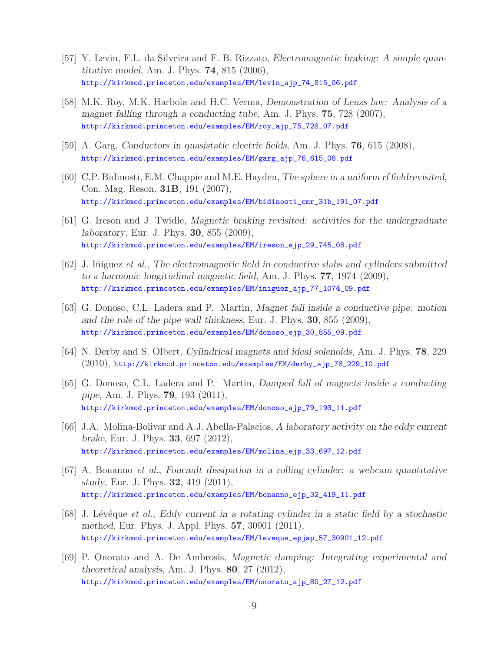- [57] Y. Levin, F.L. da Silveira and F. B. Rizzato, *Electromagnetic braking: A simple quantitative model*, Am. J. Phys. **74**, 815 (2006), http://kirkmcd.princeton.edu/examples/EM/levin\_ajp\_74\_815\_06.pdf
- [58] M.K. Roy, M.K. Harbola and H.C. Verma, *Demonstration of Lenzs law: Analysis of a magnet falling through a conducting tube*, Am. J. Phys. **75**, 728 (2007), http://kirkmcd.princeton.edu/examples/EM/roy\_ajp\_75\_728\_07.pdf
- [59] A. Garg, *Conductors in quasistatic electric fields*, Am. J. Phys. **76**, 615 (2008), http://kirkmcd.princeton.edu/examples/EM/garg\_ajp\_76\_615\_08.pdf
- [60] C.P. Bidinosti, E.M. Chappie and M.E. Hayden, *The sphere in a uniform rf fieldrevisited*, Con. Mag. Reson. **31B**, 191 (2007), http://kirkmcd.princeton.edu/examples/EM/bidinosti\_cmr\_31b\_191\_07.pdf
- [61] G. Ireson and J. Twidle, *Magnetic braking revisited: activities for the undergraduate laboratory*, Eur. J. Phys. **30**, 855 (2009), http://kirkmcd.princeton.edu/examples/EM/ireson\_ejp\_29\_745\_08.pdf
- [62] J. Iniguez *et al.*, The electromagnetic field in conductive slabs and cylinders submitted *to a harmonic longitudinal magnetic field*, Am. J. Phys. **77**, 1974 (2009), http://kirkmcd.princeton.edu/examples/EM/iniguez\_ajp\_77\_1074\_09.pdf
- [63] G. Donoso, C.L. Ladera and P. Martin, *Magnet fall inside a conductive pipe: motion and the role of the pipe wall thickness*, Eur. J. Phys. **30**, 855 (2009), http://kirkmcd.princeton.edu/examples/EM/donoso\_ejp\_30\_855\_09.pdf
- [64] N. Derby and S. Olbert, *Cylindrical magnets and ideal solenoids*, Am. J. Phys. **78**, 229 (2010), http://kirkmcd.princeton.edu/examples/EM/derby\_ajp\_78\_229\_10.pdf
- [65] G. Donoso, C.L. Ladera and P. Martin, *Damped fall of magnets inside a conducting pipe*, Am. J. Phys. **79**, 193 (2011), http://kirkmcd.princeton.edu/examples/EM/donoso\_ajp\_79\_193\_11.pdf
- [66] J.A. Molina-Bolivar and A.J. Abella-Palacios, *A laboratory activity on the eddy current brake*, Eur. J. Phys. **33**, 697 (2012), http://kirkmcd.princeton.edu/examples/EM/molina\_ejp\_33\_697\_12.pdf
- [67] A. Bonanno *et al.*, *Foucault dissipation in a rolling cylinder: a webcam quantitative study*, Eur. J. Phys. **32**, 419 (2011), http://kirkmcd.princeton.edu/examples/EM/bonanno\_ejp\_32\_419\_11.pdf
- [68] J. Lévêque *et al.*, *Eddy current in a rotating cylinder in a static field by a stochastic method*, Eur. Phys. J. Appl. Phys. **57**, 30901 (2011), http://kirkmcd.princeton.edu/examples/EM/leveque\_epjap\_57\_30901\_12.pdf
- [69] P. Onorato and A. De Ambrosis, *Magnetic damping: Integrating experimental and theoretical analysis*, Am. J. Phys. **80**, 27 (2012), http://kirkmcd.princeton.edu/examples/EM/onorato\_ajp\_80\_27\_12.pdf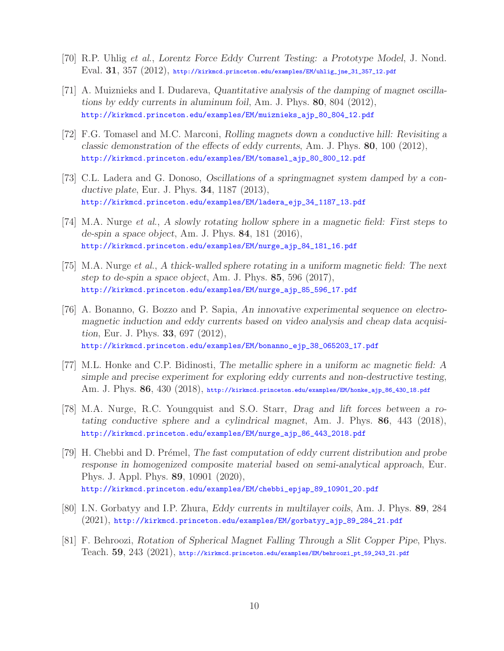- [70] R.P. Uhlig *et al.*, *Lorentz Force Eddy Current Testing: a Prototype Model*, J. Nond. Eval. **31**, 357 (2012), http://kirkmcd.princeton.edu/examples/EM/uhlig\_jne\_31\_357\_12.pdf
- [71] A. Muiznieks and I. Dudareva, *Quantitative analysis of the damping of magnet oscillations by eddy currents in aluminum foil*, Am. J. Phys. **80**, 804 (2012), http://kirkmcd.princeton.edu/examples/EM/muiznieks\_ajp\_80\_804\_12.pdf
- [72] F.G. Tomasel and M.C. Marconi, *Rolling magnets down a conductive hill: Revisiting a classic demonstration of the effects of eddy currents*, Am. J. Phys. **80**, 100 (2012), http://kirkmcd.princeton.edu/examples/EM/tomasel\_ajp\_80\_800\_12.pdf
- [73] C.L. Ladera and G. Donoso, *Oscillations of a springmagnet system damped by a conductive plate*, Eur. J. Phys. **34**, 1187 (2013), http://kirkmcd.princeton.edu/examples/EM/ladera\_ejp\_34\_1187\_13.pdf
- [74] M.A. Nurge *et al.*, *A slowly rotating hollow sphere in a magnetic field: First steps to de-spin a space object*, Am. J. Phys. **84**, 181 (2016), http://kirkmcd.princeton.edu/examples/EM/nurge\_ajp\_84\_181\_16.pdf
- [75] M.A. Nurge *et al.*, *A thick-walled sphere rotating in a uniform magnetic field: The next step to de-spin a space object*, Am. J. Phys. **85**, 596 (2017), http://kirkmcd.princeton.edu/examples/EM/nurge\_ajp\_85\_596\_17.pdf
- [76] A. Bonanno, G. Bozzo and P. Sapia, *An innovative experimental sequence on electromagnetic induction and eddy currents based on video analysis and cheap data acquisition*, Eur. J. Phys. **33**, 697 (2012), http://kirkmcd.princeton.edu/examples/EM/bonanno\_ejp\_38\_065203\_17.pdf
- [77] M.L. Honke and C.P. Bidinosti, *The metallic sphere in a uniform ac magnetic field: A simple and precise experiment for exploring eddy currents and non-destructive testing*, Am. J. Phys. **86**, 430 (2018), http://kirkmcd.princeton.edu/examples/EM/honke\_ajp\_86\_430\_18.pdf
- [78] M.A. Nurge, R.C. Youngquist and S.O. Starr, *Drag and lift forces between a rotating conductive sphere and a cylindrical magnet*, Am. J. Phys. **86**, 443 (2018), http://kirkmcd.princeton.edu/examples/EM/nurge\_ajp\_86\_443\_2018.pdf
- [79] H. Chebbi and D. Pr´emel, *The fast computation of eddy current distribution and probe response in homogenized composite material based on semi-analytical approach*, Eur. Phys. J. Appl. Phys. **89**, 10901 (2020), http://kirkmcd.princeton.edu/examples/EM/chebbi\_epjap\_89\_10901\_20.pdf
- [80] I.N. Gorbatyy and I.P. Zhura, *Eddy currents in multilayer coils*, Am. J. Phys. **89**, 284 (2021), http://kirkmcd.princeton.edu/examples/EM/gorbatyy\_ajp\_89\_284\_21.pdf
- [81] F. Behroozi, *Rotation of Spherical Magnet Falling Through a Slit Copper Pipe*, Phys. Teach. **59**, 243 (2021), http://kirkmcd.princeton.edu/examples/EM/behroozi\_pt\_59\_243\_21.pdf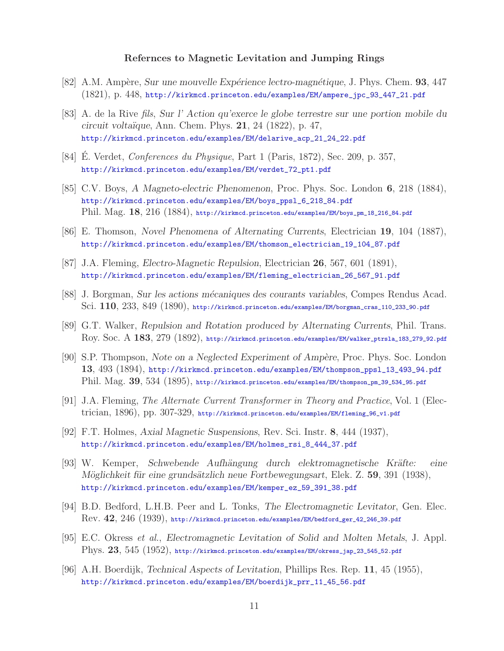#### **Refernces to Magnetic Levitation and Jumping Rings**

- [82] A.M. Amp`ere, *Sur une mouvelle Exp´erience lectro-magn´etique*, J. Phys. Chem. **93**, 447 (1821), p. 448, http://kirkmcd.princeton.edu/examples/EM/ampere\_jpc\_93\_447\_21.pdf
- [83] A. de la Rive *fils*, *Sur l' Action qu'exerce le globe terrestre sur une portion mobile du circuit volta¨ıque*, Ann. Chem. Phys. **21**, 24 (1822), p. 47, http://kirkmcd.princeton.edu/examples/EM/delarive\_acp\_21\_24\_22.pdf
- [84] E. Verdet, *Conferences du Physique*, Part 1 (Paris, 1872), Sec. 209, p. 357, http://kirkmcd.princeton.edu/examples/EM/verdet\_72\_pt1.pdf
- [85] C.V. Boys, *A Magneto-electric Phenomenon*, Proc. Phys. Soc. London **6**, 218 (1884), http://kirkmcd.princeton.edu/examples/EM/boys\_ppsl\_6\_218\_84.pdf Phil. Mag. **18**, 216 (1884), http://kirkmcd.princeton.edu/examples/EM/boys\_pm\_18\_216\_84.pdf
- [86] E. Thomson, *Novel Phenomena of Alternating Currents*, Electrician **19**, 104 (1887), http://kirkmcd.princeton.edu/examples/EM/thomson\_electrician\_19\_104\_87.pdf
- [87] J.A. Fleming, *Electro-Magnetic Repulsion*, Electrician **26**, 567, 601 (1891), http://kirkmcd.princeton.edu/examples/EM/fleming\_electrician\_26\_567\_91.pdf
- [88] J. Borgman, *Sur les actions m´ecaniques des courants variables*, Compes Rendus Acad. Sci. **110**, 233, 849 (1890), http://kirkmcd.princeton.edu/examples/EM/borgman\_cras\_110\_233\_90.pdf
- [89] G.T. Walker, *Repulsion and Rotation produced by Alternating Currents*, Phil. Trans. Roy. Soc. A **183**, 279 (1892), http://kirkmcd.princeton.edu/examples/EM/walker\_ptrsla\_183\_279\_92.pdf
- [90] S.P. Thompson, *Note on a Neglected Experiment of Amp`ere*, Proc. Phys. Soc. London **13**, 493 (1894), http://kirkmcd.princeton.edu/examples/EM/thompson\_ppsl\_13\_493\_94.pdf Phil. Mag. **39**, 534 (1895), http://kirkmcd.princeton.edu/examples/EM/thompson\_pm\_39\_534\_95.pdf
- [91] J.A. Fleming, *The Alternate Current Transformer in Theory and Practice*, Vol. 1 (Electrician, 1896), pp. 307-329, http://kirkmcd.princeton.edu/examples/EM/fleming\_96\_v1.pdf
- [92] F.T. Holmes, *Axial Magnetic Suspensions*, Rev. Sci. Instr. **8**, 444 (1937), http://kirkmcd.princeton.edu/examples/EM/holmes\_rsi\_8\_444\_37.pdf
- [93] W. Kemper, *Schwebende Aufh¨angung durch elektromagnetische Kr¨afte: eine M¨oglichkeit f¨ur eine grunds¨atzlich neue Fortbewegungsart*, Elek. Z. **59**, 391 (1938), http://kirkmcd.princeton.edu/examples/EM/kemper\_ez\_59\_391\_38.pdf
- [94] B.D. Bedford, L.H.B. Peer and L. Tonks, *The Electromagnetic Levitator*, Gen. Elec. Rev. **42**, 246 (1939), http://kirkmcd.princeton.edu/examples/EM/bedford\_ger\_42\_246\_39.pdf
- [95] E.C. Okress *et al.*, *Electromagnetic Levitation of Solid and Molten Metals*, J. Appl. Phys. **23**, 545 (1952), http://kirkmcd.princeton.edu/examples/EM/okress\_jap\_23\_545\_52.pdf
- [96] A.H. Boerdijk, *Technical Aspects of Levitation*, Phillips Res. Rep. **11**, 45 (1955), http://kirkmcd.princeton.edu/examples/EM/boerdijk\_prr\_11\_45\_56.pdf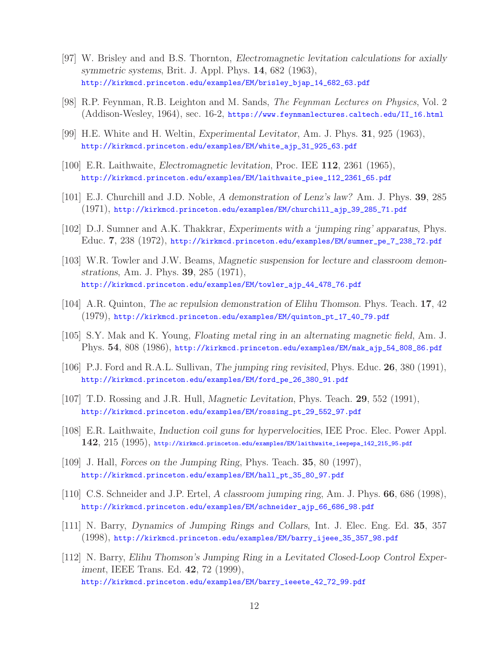- [97] W. Brisley and and B.S. Thornton, *Electromagnetic levitation calculations for axially symmetric systems*, Brit. J. Appl. Phys. **14**, 682 (1963), http://kirkmcd.princeton.edu/examples/EM/brisley\_bjap\_14\_682\_63.pdf
- [98] R.P. Feynman, R.B. Leighton and M. Sands, *The Feynman Lectures on Physics*, Vol. 2 (Addison-Wesley, 1964), sec. 16-2, https://www.feynmanlectures.caltech.edu/II\_16.html
- [99] H.E. White and H. Weltin, *Experimental Levitator*, Am. J. Phys. **31**, 925 (1963), http://kirkmcd.princeton.edu/examples/EM/white\_ajp\_31\_925\_63.pdf
- [100] E.R. Laithwaite, *Electromagnetic levitation*, Proc. IEE **112**, 2361 (1965), http://kirkmcd.princeton.edu/examples/EM/laithwaite\_piee\_112\_2361\_65.pdf
- [101] E.J. Churchill and J.D. Noble, *A demonstration of Lenz's law?* Am. J. Phys. **39**, 285 (1971), http://kirkmcd.princeton.edu/examples/EM/churchill\_ajp\_39\_285\_71.pdf
- [102] D.J. Sumner and A.K. Thakkrar, *Experiments with a 'jumping ring' apparatus*, Phys. Educ. **7**, 238 (1972), http://kirkmcd.princeton.edu/examples/EM/sumner\_pe\_7\_238\_72.pdf
- [103] W.R. Towler and J.W. Beams, *Magnetic suspension for lecture and classroom demonstrations*, Am. J. Phys. **39**, 285 (1971), http://kirkmcd.princeton.edu/examples/EM/towler\_ajp\_44\_478\_76.pdf
- [104] A.R. Quinton, *The ac repulsion demonstration of Elihu Thomson*. Phys. Teach. **17**, 42 (1979), http://kirkmcd.princeton.edu/examples/EM/quinton\_pt\_17\_40\_79.pdf
- [105] S.Y. Mak and K. Young, *Floating metal ring in an alternating magnetic field*, Am. J. Phys. **54**, 808 (1986), http://kirkmcd.princeton.edu/examples/EM/mak\_ajp\_54\_808\_86.pdf
- [106] P.J. Ford and R.A.L. Sullivan, *The jumping ring revisited*, Phys. Educ. **26**, 380 (1991), http://kirkmcd.princeton.edu/examples/EM/ford\_pe\_26\_380\_91.pdf
- [107] T.D. Rossing and J.R. Hull, *Magnetic Levitation*, Phys. Teach. **29**, 552 (1991), http://kirkmcd.princeton.edu/examples/EM/rossing\_pt\_29\_552\_97.pdf
- [108] E.R. Laithwaite, *Induction coil guns for hypervelocities*, IEE Proc. Elec. Power Appl. **142**, 215 (1995), http://kirkmcd.princeton.edu/examples/EM/laithwaite\_ieepepa\_142\_215\_95.pdf
- [109] J. Hall, *Forces on the Jumping Ring*, Phys. Teach. **35**, 80 (1997), http://kirkmcd.princeton.edu/examples/EM/hall\_pt\_35\_80\_97.pdf
- [110] C.S. Schneider and J.P. Ertel, *A classroom jumping ring*, Am. J. Phys. **66**, 686 (1998), http://kirkmcd.princeton.edu/examples/EM/schneider\_ajp\_66\_686\_98.pdf
- [111] N. Barry, *Dynamics of Jumping Rings and Collars*, Int. J. Elec. Eng. Ed. **35**, 357 (1998), http://kirkmcd.princeton.edu/examples/EM/barry\_ijeee\_35\_357\_98.pdf
- [112] N. Barry, *Elihu Thomson's Jumping Ring in a Levitated Closed-Loop Control Experiment*, IEEE Trans. Ed. **42**, 72 (1999), http://kirkmcd.princeton.edu/examples/EM/barry\_ieeete\_42\_72\_99.pdf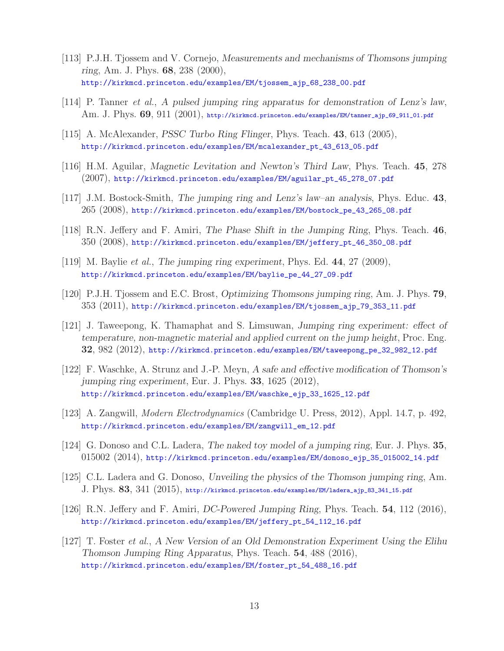- [113] P.J.H. Tjossem and V. Cornejo, *Measurements and mechanisms of Thomsons jumping ring*, Am. J. Phys. **68**, 238 (2000), http://kirkmcd.princeton.edu/examples/EM/tjossem\_ajp\_68\_238\_00.pdf
- [114] P. Tanner *et al.*, *A pulsed jumping ring apparatus for demonstration of Lenz's law*, Am. J. Phys. **69**, 911 (2001), http://kirkmcd.princeton.edu/examples/EM/tanner\_ajp\_69\_911\_01.pdf
- [115] A. McAlexander, *PSSC Turbo Ring Flinger*, Phys. Teach. **43**, 613 (2005), http://kirkmcd.princeton.edu/examples/EM/mcalexander\_pt\_43\_613\_05.pdf
- [116] H.M. Aguilar, *Magnetic Levitation and Newton's Third Law*, Phys. Teach. **45**, 278 (2007), http://kirkmcd.princeton.edu/examples/EM/aguilar\_pt\_45\_278\_07.pdf
- [117] J.M. Bostock-Smith, *The jumping ring and Lenz's law–an analysis*, Phys. Educ. **43**, 265 (2008), http://kirkmcd.princeton.edu/examples/EM/bostock\_pe\_43\_265\_08.pdf
- [118] R.N. Jeffery and F. Amiri, *The Phase Shift in the Jumping Ring*, Phys. Teach. **46**, 350 (2008), http://kirkmcd.princeton.edu/examples/EM/jeffery\_pt\_46\_350\_08.pdf
- [119] M. Baylie *et al.*, *The jumping ring experiment*, Phys. Ed. **44**, 27 (2009), http://kirkmcd.princeton.edu/examples/EM/baylie\_pe\_44\_27\_09.pdf
- [120] P.J.H. Tjossem and E.C. Brost, *Optimizing Thomsons jumping ring*, Am. J. Phys. **79**, 353 (2011), http://kirkmcd.princeton.edu/examples/EM/tjossem\_ajp\_79\_353\_11.pdf
- [121] J. Taweepong, K. Thamaphat and S. Limsuwan, *Jumping ring experiment: effect of temperature, non-magnetic material and applied current on the jump height*, Proc. Eng. **32**, 982 (2012), http://kirkmcd.princeton.edu/examples/EM/taweepong\_pe\_32\_982\_12.pdf
- [122] F. Waschke, A. Strunz and J.-P. Meyn, *A safe and effective modification of Thomson's jumping ring experiment*, Eur. J. Phys. **33**, 1625 (2012), http://kirkmcd.princeton.edu/examples/EM/waschke\_ejp\_33\_1625\_12.pdf
- [123] A. Zangwill, *Modern Electrodynamics* (Cambridge U. Press, 2012), Appl. 14.7, p. 492, http://kirkmcd.princeton.edu/examples/EM/zangwill\_em\_12.pdf
- [124] G. Donoso and C.L. Ladera, *The naked toy model of a jumping ring*, Eur. J. Phys. **35**, 015002 (2014), http://kirkmcd.princeton.edu/examples/EM/donoso\_ejp\_35\_015002\_14.pdf
- [125] C.L. Ladera and G. Donoso, *Unveiling the physics of the Thomson jumping ring*, Am. J. Phys. **83**, 341 (2015), http://kirkmcd.princeton.edu/examples/EM/ladera\_ajp\_83\_341\_15.pdf
- [126] R.N. Jeffery and F. Amiri, *DC-Powered Jumping Ring*, Phys. Teach. **54**, 112 (2016), http://kirkmcd.princeton.edu/examples/EM/jeffery\_pt\_54\_112\_16.pdf
- [127] T. Foster *et al.*, *A New Version of an Old Demonstration Experiment Using the Elihu Thomson Jumping Ring Apparatus*, Phys. Teach. **54**, 488 (2016), http://kirkmcd.princeton.edu/examples/EM/foster\_pt\_54\_488\_16.pdf